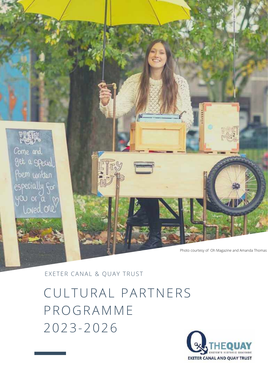

EXETER CANAL & QUAY TRUST

CULTURAL PARTNERS PROGRAMME 2023-2026

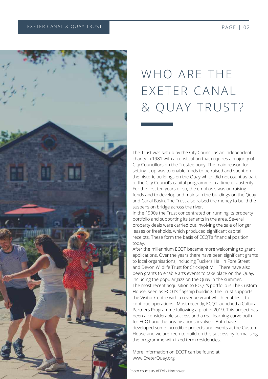

# WHO ARF THE EXETER CANAL & QUAY TRUST?

The Trust was set up by the City Council as an independent charity in 1981 with a constitution that requires a majority of City Councillors on the Trustee body. The main reason for setting it up was to enable funds to be raised and spent on the historic buildings on the Quay which did not count as part of the City Council's capital programme in a time of austerity. For the first ten years or so, the emphasis was on raising funds and to develop and maintain the buildings on the Quay and Canal Basin. The Trust also raised the money to build the suspension bridge across the river.

In the 1990s the Trust concentrated on running its property portfolio and supporting its tenants in the area. Several property deals were carried out involving the sale of longer leases or freeholds, which produced significant capital receipts. These form the basis of ECQT's financial position today.

After the millennium ECQT became more welcoming to grant applications. Over the years there have been significant grants to local organisations, including Tuckers Hall in Fore Street and Devon Wildlife Trust for Cricklepit Mill. There have also been grants to enable arts events to take place on the Quay, including the popular Jazz on the Quay in the summer. The most recent acquisition to ECQT's portfolio is The Custom House, seen as ECQT's flagship building. The Trust supports the Visitor Centre with a revenue grant which enables it to continue operations. Most recently, ECQT launched a Cultural Partners Programme following a pilot in 2019. This project has been a considerable success and a real learning curve both for ECQT and the organisations involved. Both have developed some incredible projects and events at the Custom House and we are keen to build on this success by formalising the programme with fixed term residencies.

More information on ECQT can be found at [www.ExeterQuay.org](http://www.exeterquay.org/)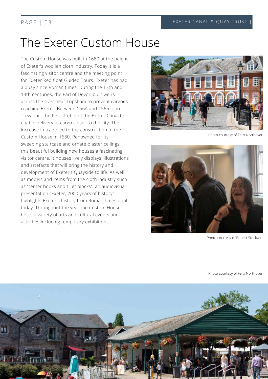## The Exeter Custom House

The Custom House was built in 1680 at the height of Exeter's woollen cloth industry. Today it is a fascinating visitor centre and the meeting point for Exeter Red Coat Guided Tours. Exeter has had a quay since Roman times. During the 13th and 14th centuries, the Earl of Devon built weirs across the river near Topsham to prevent cargoes reaching Exeter. Between 1564 and 1566 John Trew built the first stretch of the Exeter Canal to enable delivery of cargo closer to the city. The increase in trade led to the construction of the Custom House in 1680. Renowned for its sweeping staircase and ornate plaster ceilings, this beautiful building now houses a fascinating visitor centre. It houses lively displays, illustrations and artefacts that will bring the history and development of Exeter's Quayside to life. As well as models and items from the cloth industry such as "tenter hooks and tillet blocks", an audiovisual presentation "Exeter, 2000 years of history" highlights Exeter's history from Roman times until today. Throughout the year the Custom House hosts a variety of arts and cultural events and activities including temporary exhibitions.



Photo courtesy of Felix Northover



Photo courtesy of Robert Stockwin

Photo courtesy of Felix Northover

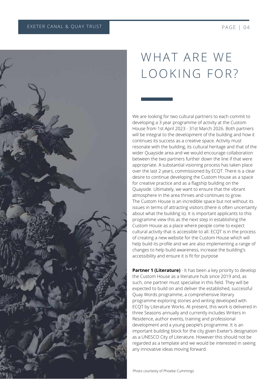

# WHAT ARE WE LOOKING FOR?

We are looking for two cultural partners to each commit to developing a 3 year programme of activity at the Custom House from 1st April 2023 - 31st March 2026. Both partners will be integral to the development of the building and how it continues its success as a creative space. Activity must resonate with the building, its cultural heritage and that of the wider Quayside area and we would encourage collaboration between the two partners further down the line if that were appropriate. A substantial visioning process has taken place over the last 2 years, commissioned by ECQT. There is a clear desire to continue developing the Custom House as a space for creative practice and as a flagship building on the Quayside. Ultimately, we want to ensure that the vibrant atmosphere in the area thrives and continues to grow. The Custom House is an incredible space but not without its issues in terms of attracting visitors (there is often uncertainty about what the building is). It is important applicants to this programme view this as the next step in establishing the Custom House as a place where people come to expect cultural activity that is accessible to all. ECQT is in the process of creating a new website for the Custom House which will help build its profile and we are also implementing a range of changes to help build awareness, increase the building's accessibility and ensure it is fit for purpose

**Partner 1 (Literature)** - It has been a key priority to develop the Custom House as a literature hub since 2019 and, as such, one partner must specialise in this field. They will be expected to build on and deliver the established, successful Quay Words programme, a comprehensive literary programme exploring stories and writing developed with ECQT by Literature Works. At present, this work is delivered in three Seasons annually and currently includes Writers in Residence, author events, training and professional development and a young people's programme. It is an important building block for the city given Exeter's designation as a UNESCO City of Literature. However this should not be regarded as a template and we would be interested in seeing any innovative ideas moving forward.

Photo courtesty of Phoebe Cummings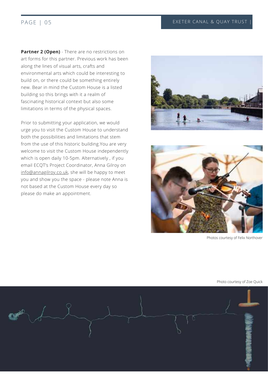**Partner 2 (Open)** - There are no restrictions on art forms for this partner. Previous work has been along the lines of visual arts, crafts and environmental arts which could be interesting to build on, or there could be something entirely new. Bear in mind the Custom House is a listed building so this brings with it a realm of fascinating historical context but also some limitations in terms of the physical spaces.

Prior to submitting your application, we would urge you to visit the Custom House to understand both the possibilities and limitations that stem from the use of this historic building.You are very welcome to visit the Custom House independently which is open daily 10-5pm. Alternatively , if you email ECQT's Project Coordinator, Anna Gilroy on [info@annagilroy.co.uk](mailto:info@annagilroy.co.uk), she will be happy to meet you and show you the space - please note Anna is not based at the Custom House every day so please do make an appointment.





Photos courtesy of Felix Northover

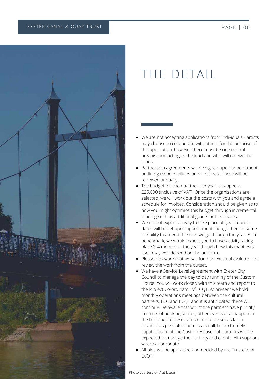

## THE DETAIL

- We are not accepting applications from individuals artists may choose to collaborate with others for the purpose of this application, however there must be one central organisation acting as the lead and who will receive the funds
- Partnership agreements will be signed upon appointment outlining responsibilities on both sides - these will be reviewed annually.
- The budget for each partner per year is capped at £25,000 (inclusive of VAT). Once the organisations are selected, we will work out the costs with you and agree a schedule for invoices. Consideration should be given as to how you might optimise this budget through incremental funding such as additional grants or ticket sales*.*
- We do not expect activity to take place all year round dates will be set upon appointment though there is some flexibility to amend these as we go through the year. As a benchmark, we would expect you to have activity taking place 3-4 months of the year though how this manifests itself may well depend on the art form.
- Please be aware that we will fund an external evaluator to review the work from the outset.
- We have a Service Level Agreement with Exeter City Council to manage the day to day running of the Custom House. You will work closely with this team and report to the Project Co-ordinator of ECQT. At present we hold monthly operations meetings between the cultural partners, ECC and ECQT and it is anticipated these will continue. Be aware that whilst the partners have priority in terms of booking spaces, other events also happen in the building so these dates need to be set as far in advance as possible. There is a small, but extremely capable team at the Custom House but partners will be expected to manage their activity and events with support where appropriate.
- All bids will be appraised and decided by the Trustees of ECQT.

Photo courtesy of Visit Exeter